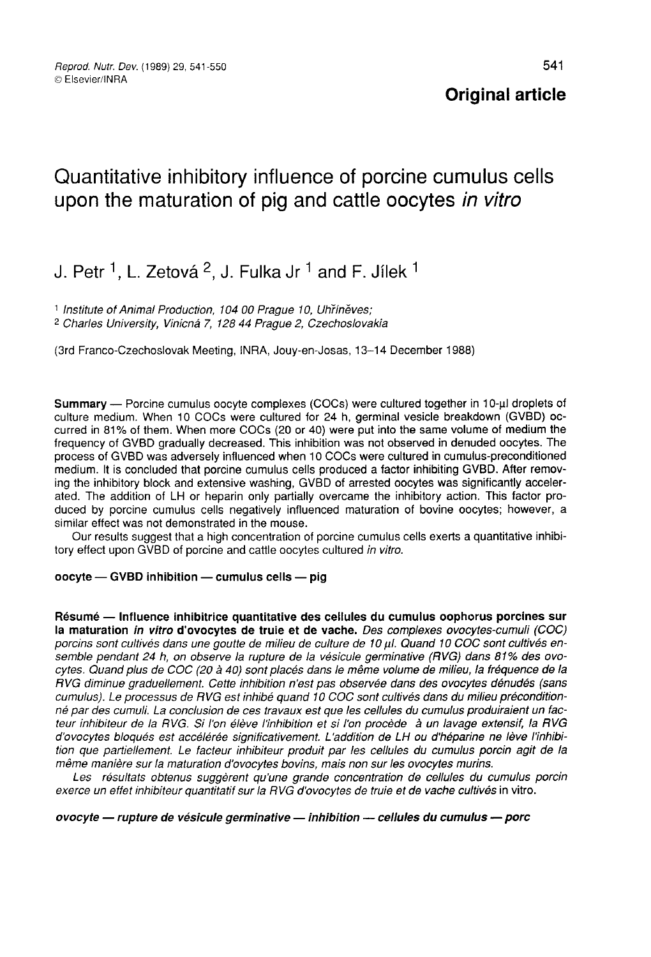# Quantitative inhibitory influence of porcine cumulus cells upon the maturation of pig and cattle oocytes in vitro

## J. Petr  $^1$ . L. Zetová  $^2$ . J. Fulka Jr  $^1$  and F. Jilek  $^1$

<sup>1</sup> Institute of Animal Production, 104 00 Praque 10, Uhrineves; <sup>2</sup> Charles University, Vinicna 7, 128 44 Prague 2, Czechoslovakia

(3rd Franco-Czechoslovak Meeting, INRA, Jouy-en-Josas, 13-14 December 1988)

Summary — Porcine cumulus oocyte complexes (COCs) were cultured together in 10-µl droplets of culture medium. When 10 COCs were cultured for 24 h, germinal vesicle breakdown (GVBD) occurred in 81% of them. When more COCs (20 or 40) were put into the same volume of medium the frequency of GVBD gradually decreased. This inhibition was not observed in denuded oocytes. The process of GVBD was adversely influenced when 10 COCs were cultured in cumulus-preconditioned medium. It is concluded that porcine cumulus cells produced a factor inhibiting GVBD. After removing the inhibitory block and extensive washing, GVBD of arrested oocytes was significantly accelerated. The addition of LH or heparin only partially overcame the inhibitory action. This factor produced by porcine cumulus cells negatively influenced maturation of bovine oocytes; however, a similar effect was not demonstrated in the mouse.

Our results suggest that a high concentration of porcine cumulus cells exerts a quantitative inhibitory effect upon GVBD of porcine and cattle oocytes cultured in vitro.

#### $ocyte - GVBD$  inhibition  $-$  cumulus cells  $-$  pig

Résumé ― Influence inhibitrice quantitative des cellules du cumulus oophorus porcines sur nesume — immerice mimbrice quantitative des centres du cumulus obpitoits porcines sur<br>porcins sont cultivés dans une goutte de milieu de culture de 10 µl. Quand 10 COC sont cultivés en-<br>semble pendant 24 b on observe la ru semble pendant 24 h, on observe la rupture de la vésicule germinative (RVG) dans 81% des ovocytes. Quand plus de COC (20 à 40) sont placés dans le même volume de milieu, la fréquence de la RVG diminue graduellement. Cette inhibition n'est pas observée dans des ovocytes dénudés (sans cumulus). Le processus de RVG est inhibé quand 10 COC sont cultivés dans du milieu préconditionné par des cumuli. La conclusion de ces travaux est que les cellules du cumulus produiraient un facteur inhibiteur de la RVG. Si l'on élève l'inhibition et si l'on procède à un lavage extensif, la RVG d'ovocytes bloqués est accélérée significativement. L'addition de LH ou d'héparine ne lève l'inhibition que partiellement. Le facteur inhibiteur produit par les cellules du cumulus porcin agit de la même manière sur la maturation d'ovocytes bovins, mais non sur les ovocytes murins.<br>Les résultats obtenus suggèrent qu'une grande concentration de cellules du cumulus porcin

exerce un effet inhibiteur quantitatif sur la RVG d'ovocytes de truie et de vache cultivés in vitro.

#### ovocyte - rupture de vésicule germinative - inhibition -- cellules du cumulus -- porc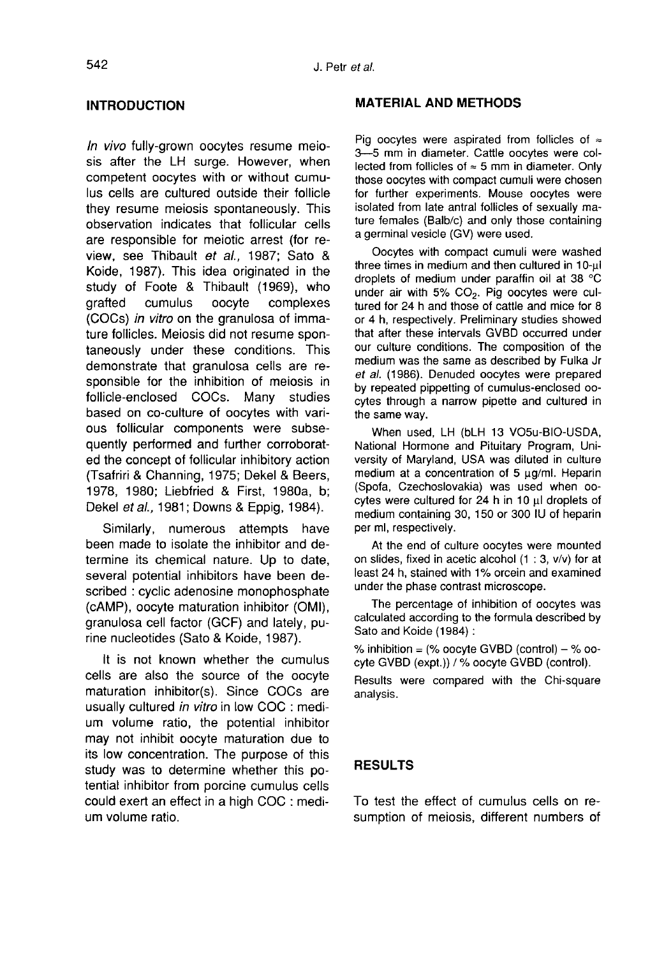## INTRODUCTION

In vivo fully-grown oocytes resume meiosis after the LH surge. However, when competent oocytes with or without cumulus cells are cultured outside their follicle they resume meiosis spontaneously. This observation indicates that follicular cells are responsible for meiotic arrest (for review, see Thibault et al., 1987; Sato & Koide, 1987). This idea originated in the Rolde, 1987). This idea originated in the<br>study of Foote & Thibault (1969), who<br>grafted cumulus oocyte complexes<br>(COCs) *in vitro* on the granulosa of imma-<br>ture follicles. Meiosis did not resume spongrafted cumulus oocyte complexes<br>(COCs) in vitro on the granulosa of immature follicles. Meiosis did not resume spontaneously under these conditions. This demonstrate that granulosa cells are re-<br>sponsible for the inhibition of meiosis in<br>follicle-enclosed COCs. Many studies sponsible for the inhibition of meiosis in<br>follicle-enclosed COCs. Many studies based on co-culture of oocytes with various follicular components were subsequently performed and further corroborated the concept of follicular inhibitory action (Tsafriri & Channing, 1975; Dekel & Beers, 1978, 1980; Liebfried & First, 1980a, b; Dekel et al., 1981; Downs & Eppig, 1984).

Similarly, numerous attempts have been made to isolate the inhibitor and determine its chemical nature. Up to date, several potential inhibitors have been described : cyclic adenosine monophosphate (cAMP), oocyte maturation inhibitor (OMI), granulosa cell factor (GCF) and lately, purine nucleotides (Sato & Koide, 1987).

It is not known whether the cumulus cells are also the source of the oocyte maturation inhibitor(s). Since COCs are usually cultured in vitro in low COC : medium volume ratio, the potential inhibitor may not inhibit oocyte maturation due to its low concentration. The purpose of this study was to determine whether this potential inhibitor from porcine cumulus cells could exert an effect in a high COC : medium volume ratio.

#### MATERIAL AND METHODS

Pig oocytes were aspirated from follicles of  $\approx$ 3―5 mm in diameter. Cattle oocytes were collected from follicles of  $\approx$  5 mm in diameter. Only those oocytes with compact cumuli were chosen for further experiments. Mouse oocytes were isolated from late antral follicles of sexually mature females (Balb/c) and only those containing a germinal vesicle (GV) were used.

Oocytes with compact cumuli were washed three times in medium and then cultured in 10-ul droplets of medium under paraffin oil at 38 °C under air with 5%  $CO<sub>2</sub>$ . Pig oocytes were cultured for 24 h and those of cattle and mice for 8 or 4 h, respectively. Preliminary studies showed that after these intervals GVBD occurred under our culture conditions. The composition of the medium was the same as described by Fulka Jr et al. (1986). Denuded oocytes were prepared by repeated pippetting of cumulus-enclosed oocytes through a narrow pipette and cultured in the same way.

When used, LH (bLH 13 V05u-BIO-USDA, National Hormone and Pituitary Program, University of Maryland, USA was diluted in culture medium at a concentration of 5 µg/ml. Heparin (Spofa, Czechoslovakia) was used when oocytes were cultured for 24 h in 10  $\mu$ l droplets of medium containing 30, 150 or 300 IU of heparin per ml, respectively.

At the end of culture oocytes were mounted on slides, fixed in acetic alcohol (1 : 3, v/v) for at least 24 h, stained with 1% orcein and examined under the phase contrast microscope.

The percentage of inhibition of oocytes was calculated according to the formula described by Sato and Koide (1984) :

% inhibition =  $%$  oocyte GVBD  $(control) - %$  oocyte GVBD (expt.)) / % oocyte GVBD (control).

Results were compared with the Chi-square analysis.

## RESULTS

To test the effect of cumulus cells on resumption of meiosis, different numbers of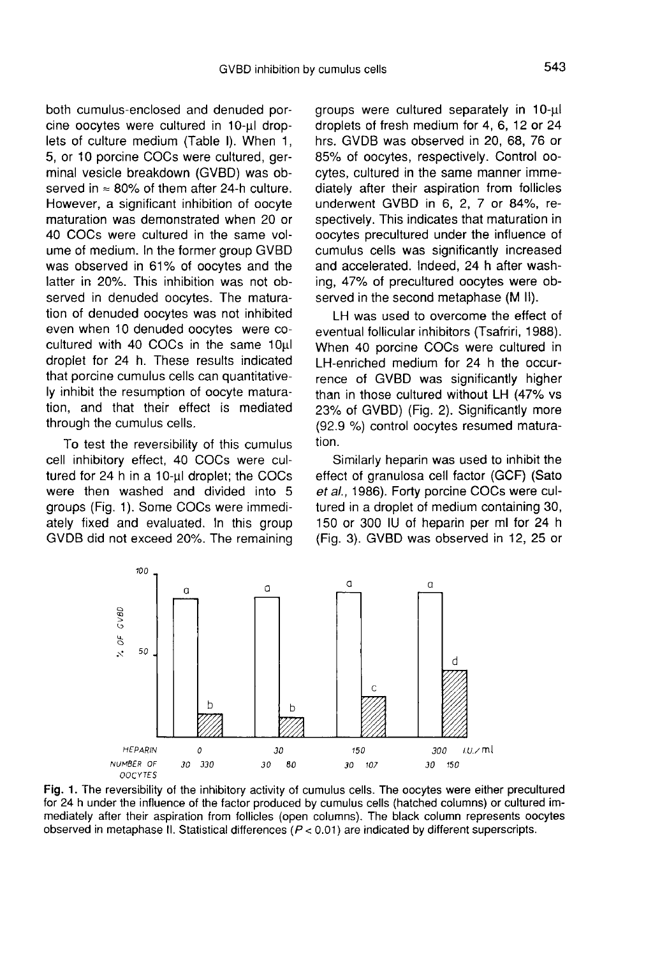both cumulus-enclosed and denuded porcine oocytes were cultured in 10-µl droplets of culture medium (Table I). When 1, 5, or 10 porcine COCs were cultured, germinal vesicle breakdown (GVBD) was observed in  $\approx 80\%$  of them after 24-h culture. However, a significant inhibition of oocyte maturation was demonstrated when 20 or 40 COCs were cultured in the same volume of medium. In the former group GVBD was observed in 61% of oocytes and the latter in 20%. This inhibition was not observed in denuded oocytes. The maturation of denuded oocytes was not inhibited even when 10 denuded oocytes were cocultured with 40 COCs in the same 10ul droplet for 24 h. These results indicated that porcine cumulus cells can quantitatively inhibit the resumption of oocyte maturation, and that their effect is mediated through the cumulus cells.

To test the reversibility of this cumulus cell inhibitory effect, 40 COCs were cultured for 24 h in a 10-ul droplet; the COCs were then washed and divided into 5 groups (Fig. 1). Some COCs were immediately fixed and evaluated. In this group GVDB did not exceed 20%. The remaining groups were cultured separately in 10-µl droplets of fresh medium for 4, 6, 12 or 24 hrs. GVDB was observed in 20, 68, 76 or 85% of oocytes, respectively. Control oocytes, cultured in the same manner immediately after their aspiration from follicles underwent GVBD in 6, 2, 7 or 84%, respectively. This indicates that maturation in oocytes precultured under the influence of cumulus cells was significantly increased and accelerated. Indeed, 24 h after washing, 47% of precultured oocytes were observed in the second metaphase (M II).

LH was used to overcome the effect of eventual follicular inhibitors (Tsafriri, 1988). When 40 porcine COCs were cultured in LH-enriched medium for 24 h the occurrence of GVBD was significantly higher than in those cultured without LH (47% vs 23% of GVBD) (Fig. 2). Significantly more (92.9 %) control oocytes resumed maturation.

Similarly heparin was used to inhibit the effect of granulosa cell factor (GCF) (Sato et al., 1986). Forty porcine COCs were cultured in a droplet of medium containing 30, 150 or 300 IU of heparin per ml for 24 h (Fig. 3). GVBD was observed in 12, 25 or



Fig. 1. The reversibility of the inhibitory activity of cumulus cells. The oocytes were either precultured for 24 h under the influence of the factor produced by cumulus cells (hatched columns) or cultured immediately after their aspiration from follicles (open columns). The black column represents oocytes observed in metaphase II. Statistical differences ( $P < 0.01$ ) are indicated by different superscripts.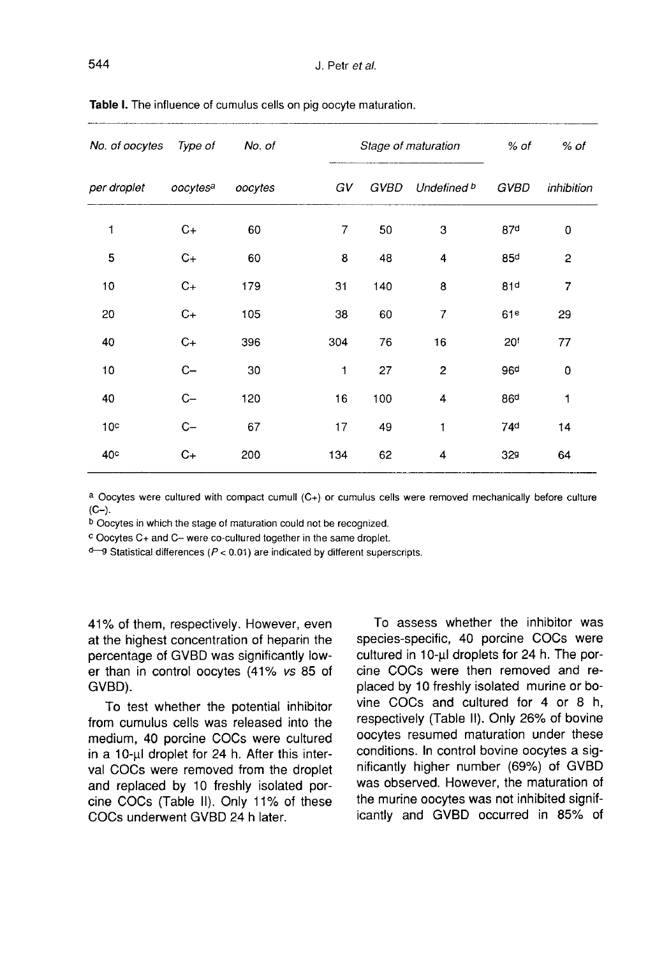| No. of oocytes  | Type of  | No. of  |     | Stage of maturation |                         |                 | % of                    |
|-----------------|----------|---------|-----|---------------------|-------------------------|-----------------|-------------------------|
| per droplet     | oocytesa | oocytes | GV  | GVBD                | Undefined b             | GVBD            | inhibition              |
| 1               | $C+$     | 60      | 7   | 50                  | 3                       | 87d             | 0                       |
| 5               | $C+$     | 60      | 8   | 48                  | 4                       | 85d             | $\overline{\mathbf{c}}$ |
| 10              | $C+$     | 179     | 31  | 140                 | 8                       | 81d             | 7                       |
| 20              | $C+$     | 105     | 38  | 60                  | 7                       | 61 <sup>e</sup> | 29                      |
| 40              | $C+$     | 396     | 304 | 76                  | 16                      | 20 <sup>t</sup> | 77                      |
| 10              | $C -$    | 30      | 1   | 27                  | $\overline{\mathbf{c}}$ | 96 <sup>d</sup> | 0                       |
| 40              | $C -$    | 120     | 16  | 100                 | 4                       | 86 <sup>d</sup> | 1                       |
| 10 <sup>c</sup> | $C -$    | 67      | 17  | 49                  | 1                       | 74 <sup>d</sup> | 14                      |
| 40 <sup>c</sup> | $C+$     | 200     | 134 | 62                  | 4                       | 32g             | 64                      |

Table I. The influence of cumulus cells on pig oocyte maturation.

a Oocytes were cultured with compact cumull (C+) or cumulus cells were removed mechanically before culture  $(C-)$ .

b Oocytes in which the stage of maturation could not be recognized.

c Oocytes C+ and C- were co-cultured together in the same droplet.

 $d$ <sup>-g</sup> Statistical differences ( $P$  < 0.01) are indicated by different superscripts.

41% of them, respectively. However, even at the highest concentration of heparin the percentage of GVBD was significantly lower than in control oocytes (41% vs 85 of GVBD).

To test whether the potential inhibitor from cumulus cells was released into the medium, 40 porcine COCs were cultured in a 10-µl droplet for 24 h. After this interval COCs were removed from the droplet and replaced by 10 freshly isolated porcine COCs (Table II). Only 11% of these COCs underwent GVBD 24 h later.

To assess whether the inhibitor was species-specific, 40 porcine COCs were cultured in 10-ul droplets for 24 h. The porcine COCs were then removed and replaced by 10 freshly isolated murine or bovine COCs and cultured for 4 or 8 h, respectively (Table II). Only 26% of bovine oocytes resumed maturation under these conditions. In control bovine oocytes a significantly higher number (69%) of GVBD was observed. However, the maturation of the murine oocytes was not inhibited significantly and GVBD occurred in 85% of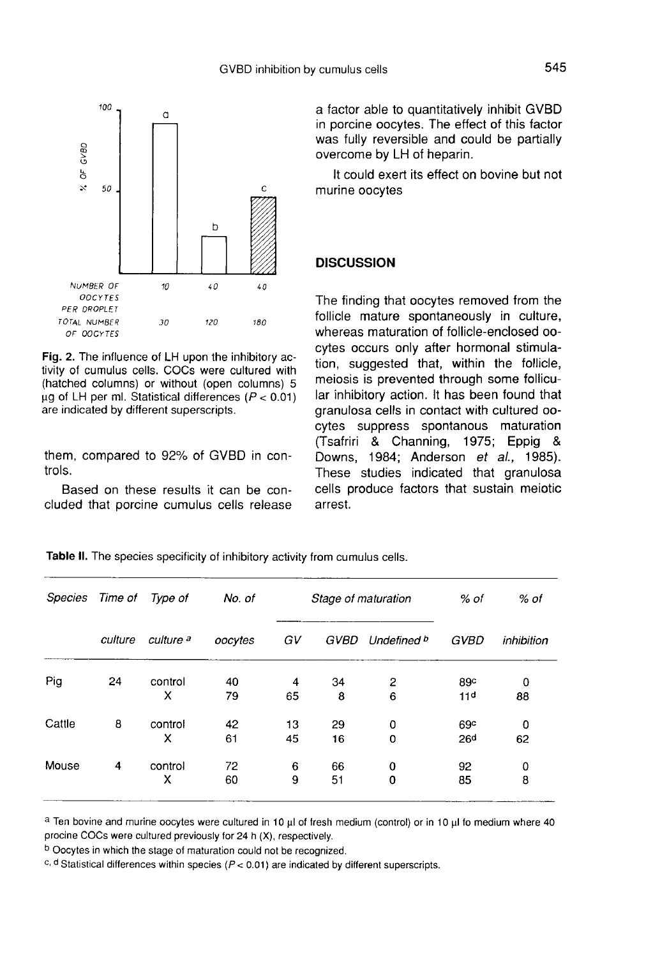

Fig. 2. The influence of LH upon the inhibitory activity of cumulus cells. COCs were cultured with (hatched columns) or without (open columns) 5  $\mu$ g of LH per ml. Statistical differences ( $P < 0.01$ ) are indicated by different superscripts.

them, compared to 92% of GVBD in controls.

Based on these results it can be concluded that porcine cumulus cells release a factor able to quantitatively inhibit GVBD in porcine oocytes. The effect of this factor was fully reversible and could be partially overcome by LH of heparin.

It could exert its effect on bovine but not murine oocytes

### **DISCUSSION**

The finding that oocytes removed from the follicle mature spontaneously in culture, whereas maturation of follicle-enclosed oocytes occurs only after hormonal stimulation, suggested that, within the follicle, meiosis is prevented through some follicular inhibitory action. It has been found that granulosa cells in contact with cultured oocytes suppress spontanous maturation (Tsafriri & Channing, 1975; Eppig & Downs, 1984; Anderson et al., 1985). These studies indicated that granulosa cells produce factors that sustain meiotic arrest.

| Time of | Type of              | No. of  | Stage of maturation |      |             | % of            | % of            |
|---------|----------------------|---------|---------------------|------|-------------|-----------------|-----------------|
| culture | culture <sup>a</sup> | oocytes | GV                  | GVBD | Undefined b | <b>GVBD</b>     | inhibition      |
| 24      | control              | 40      | 4                   | 34   | 2           | 89c             | 0               |
|         |                      |         |                     |      |             |                 | 88              |
| 8       | control              | 42      | 13                  | 29   | 0           | 69 <sup>c</sup> | 0               |
|         | x                    | 61      | 45                  | 16   | 0           | 26 <sup>d</sup> | 62              |
| 4       | control              | 72      | 6                   | 66   | 0           | 92              | 0               |
|         | x                    | 60      | 9                   | 51   | 0           | 85              | 8               |
|         |                      | x       | 79                  | 65   | 8           | 6               | 11 <sub>d</sub> |

Table II. The species specificity of inhibitory activity from cumulus cells.

a Ten bovine and murine oocytes were cultured in 10 µl of fresh medium (control) or in 10 µl fo medium where 40 procine COCs were cultured previously for 24 h (X), respectively.

b Oocytes in which the stage of maturation could not be recognized.

c, d Statistical differences within species ( $P < 0.01$ ) are indicated by different superscripts.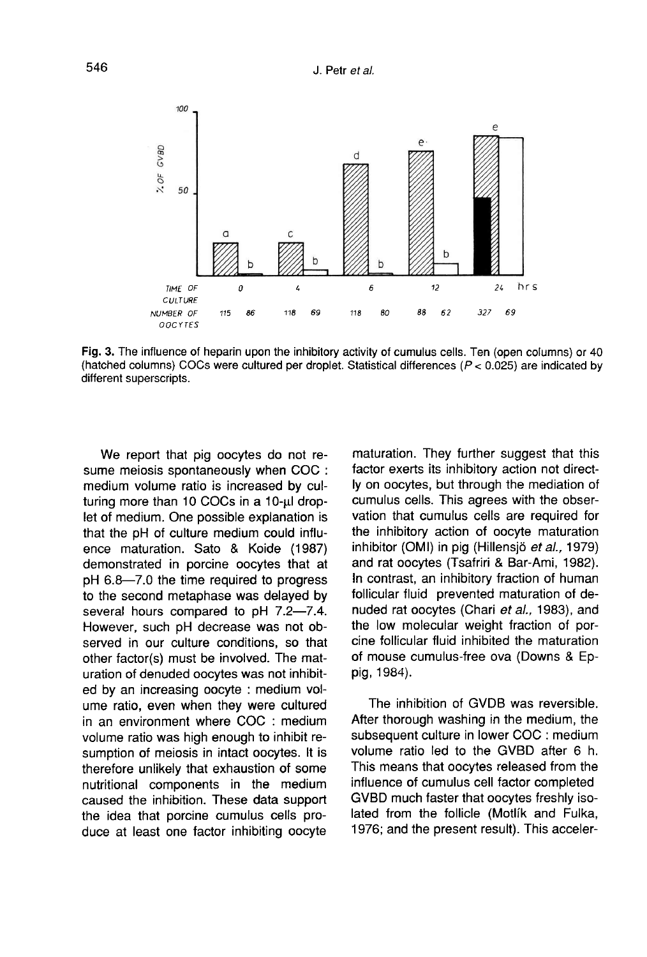

Fig. 3. The influence of heparin upon the inhibitory activity of cumulus cells. Ten (open columns) or 40 (hatched columns) COCs were cultured per droplet. Statistical differences (P < 0.025) are indicated by different superscripts.

We report that pig oocytes do not resume meiosis spontaneously when COC : medium volume ratio is increased by cul-<br>turing more than 10 COCs in a 10-µ drop-<br>let of modium. One possible explanation is let of medium. One possible explanation is that the pH of culture medium could influence maturation. Sato & Koide (1987) demonstrated in porcine oocytes that at pH 6.8―7.0 the time required to progress to the second metaphase was delayed by several hours compared to pH 7.2―7.4. However, such pH decrease was not observed in our culture conditions, so that other factor(s) must be involved. The maturation of denuded oocytes was not inhibited by an increasing oocyte : medium volume ratio, even when they were cultured in an environment where COC : medium volume ratio was high enough to inhibit resumption of meiosis in intact oocytes. It is therefore unlikely that exhaustion of some nutritional components in the medium caused the inhibition. These data support the idea that porcine cumulus cells produce at least one factor inhibiting oocyte

maturation. They further suggest that this factor exerts its inhibitory action not directly on oocytes, but through the mediation of cumulus cells. This agrees with the observation that cumulus cells are required for the inhibitory action of oocyte maturation inhibitor (OMI) in pig (Hillensjö et al., 1979) and rat oocytes (Tsafriri & Bar-Ami, 1982). In contrast, an inhibitory fraction of human follicular fluid prevented maturation of denuded rat oocytes (Chari et al., 1983), and the low molecular weight fraction of porcine follicular fluid inhibited the maturation of mouse cumulus-free ova (Downs & Eppig, 1984).

The inhibition of GVDB was reversible. After thorough washing in the medium, the subsequent culture in lower COC : medium volume ratio led to the GVBD after 6 h. This means that oocytes released from the influence of cumulus cell factor completed GVBD much faster that oocytes freshly isolated from the follicle (Motlik and Fulka, 1976; and the present result). This acceler-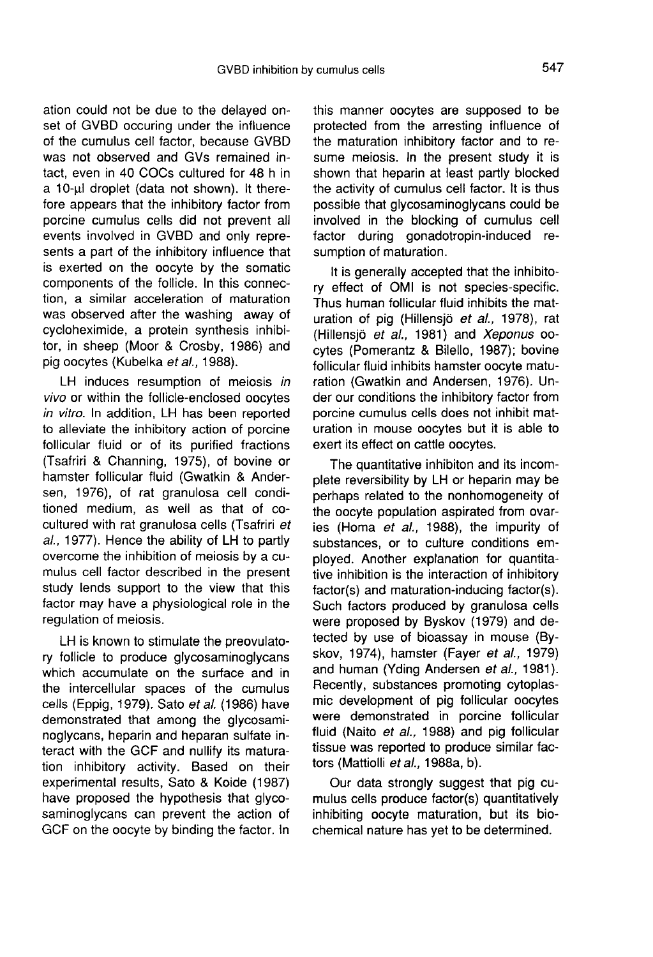ation could not be due to the delayed onset of GVBD occuring under the influence of the cumulus cell factor, because GVBD was not observed and GVs remained intact, even in 40 COCs cultured for 48 h in a 10-µl droplet (data not shown). It therefore appears that the inhibitory factor from porcine cumulus cells did not prevent all events involved in GVBD and only represents a part of the inhibitory influence that is exerted on the oocyte by the somatic components of the follicle. In this connection, a similar acceleration of maturation was observed after the washing away of cycloheximide, a protein synthesis inhibitor, in sheep (Moor & Crosby, 1986) and pig oocytes (Kubelka et al., 1988).

LH induces resumption of meiosis in vivo or within the follicle-enclosed oocytes in vitro. In addition, LH has been reported to alleviate the inhibitory action of porcine follicular fluid or of its purified fractions (Tsafriri & Channing, 1975), of bovine or hamster follicular fluid (Gwatkin & Andersen, 1976), of rat granulosa cell conditioned medium, as well as that of cocultured with rat granulosa cells (Tsafriri et al., 1977). Hence the ability of LH to partly overcome the inhibition of meiosis by a cumulus cell factor described in the present study lends support to the view that this factor may have a physiological role in the regulation of meiosis.

LH is known to stimulate the preovulatory follicle to produce glycosaminoglycans which accumulate on the surface and in the intercellular spaces of the cumulus cells (Eppig, 1979). Sato et al. (1986) have demonstrated that among the glycosaminoglycans, heparin and heparan sulfate interact with the GCF and nullify its maturation inhibitory activity. Based on their experimental results, Sato & Koide (1987) have proposed the hypothesis that glycosaminoglycans can prevent the action of GCF on the oocyte by binding the factor. In

this manner oocytes are supposed to be protected from the arresting influence of the maturation inhibitory factor and to resume meiosis. In the present study it is shown that heparin at least partly blocked the activity of cumulus cell factor. It is thus possible that glycosaminoglycans could be involved in the blocking of cumulus cell factor during gonadotropin-induced resumption of maturation.

It is generally accepted that the inhibitory effect of OMI is not species-specific. Thus human follicular fluid inhibits the maturation of pig (Hillensjö et al., 1978), rat (Hillensjö et al., 1981) and Xeponus oocytes (Pomerantz & Bilello, 1987); bovine follicular fluid inhibits hamster oocyte maturation (Gwatkin and Andersen, 1976). Under our conditions the inhibitory factor from porcine cumulus cells does not inhibit maturation in mouse oocytes but it is able to exert its effect on cattle oocytes.

The quantitative inhibiton and its incomplete reversibility by LH or heparin may be perhaps related to the nonhomogeneity of the oocyte population aspirated from ovaries (Homa et al., 1988), the impurity of substances, or to culture conditions employed. Another explanation for quantitative inhibition is the interaction of inhibitory factor(s) and maturation-inducing factor(s). Such factors produced by granulosa cells were proposed by Byskov (1979) and detected by use of bioassay in mouse (Byskov, 1974), hamster (Fayer et al., 1979) and human (Yding Andersen et al., 1981). Recently, substances promoting cytoplasmic development of pig follicular oocytes were demonstrated in porcine follicular fluid (Naito et al., 1988) and pig follicular tissue was reported to produce similar factors (Mattiolli et al., 1988a, b).

Our data strongly suggest that pig cumulus cells produce factor(s) quantitatively inhibiting oocyte maturation, but its biochemical nature has yet to be determined.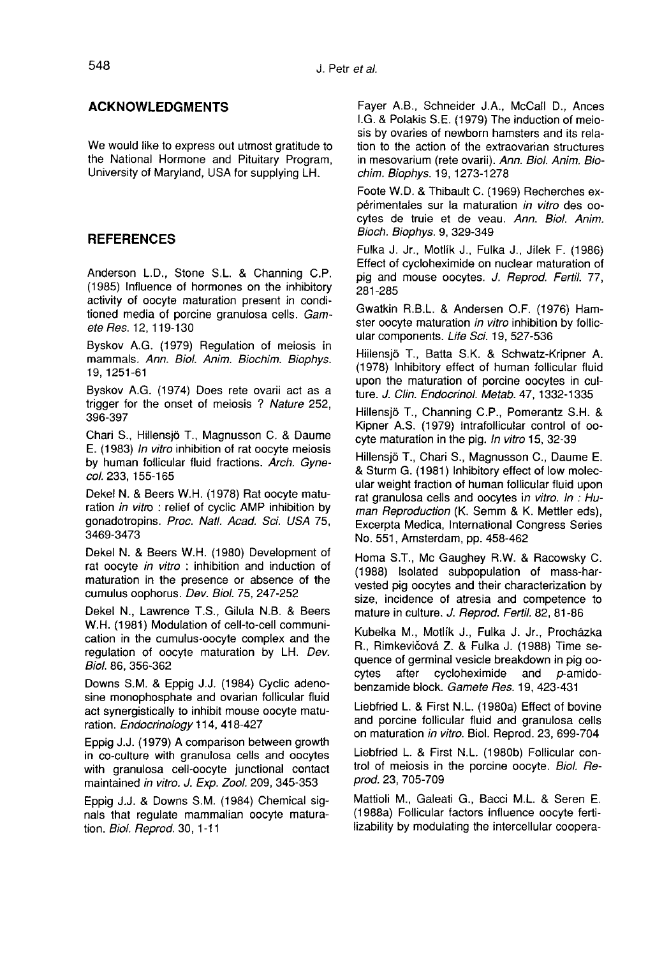### ACKNOWLEDGMENTS

We would like to express out utmost gratitude to the National Hormone and Pituitary Program, University of Maryland, USA for supplying LH.

## REFERENCES

Anderson L.D., Stone S.L. & Channing C.P. (1985) Influence of hormones on the inhibitory activity of oocyte maturation present in conditioned media of porcine granulosa cells. Gamete Res. 12, 119-130

Byskov A.G. (1979) Regulation of meiosis in mammals. Ann. Biol. Anim. Biochim. Biophys. 19,1251-61

Byskov A.G. (1974) Does rete ovarii act as a trigger for the onset of meiosis ? Nature 252, 396-397

Chari S., Hillensjö T., Magnusson C. & Daume E. (1983) In vitro inhibition of rat oocyte meiosis by human follicular fluid fractions. Arch. Gynecol. 233, 155-165

Dekel N. & Beers W.H. (1978) Rat oocyte maturation in vitro : relief of cyclic AMP inhibition by gonadotropins. Proc. Natl. Acad. Sci. USA 75, 3469-3473

Dekel N. & Beers W.H. (1980) Development of rat oocyte in vitro : inhibition and induction of maturation in the presence or absence of the cumulus oophorus. Dev. Biol. 75, 247-252

Dekel N., Lawrence T.S., Gilula N.B. & Beers W.H. (1981) Modulation of cell-to-cell communication in the cumulus-oocyte complex and the regulation of oocyte maturation by LH. Dev. Biol. 86, 356-362

Downs S.M. & Eppig J.J. (1984) Cyclic adenosine monophosphate and ovarian follicular fluid act synergistically to inhibit mouse oocyte maturation. Endocrinology 114, 418-427

Eppig J.J. (1979) A comparison between growth in co-culture with granulosa cells and oocytes with granulosa cell-oocyte junctional contact maintained in vitro. J. Exp. Zool. 209, 345-353

Eppig J.J. & Downs S.M. (1984) Chemical signals that regulate mammalian oocyte maturation. Biol. Reprod. 30, 1-11

Fayer A.B., Schneider J.A., McCall D., Ances I.G. & Polakis S.E. (1979) The induction of meiosis by ovaries of newborn hamsters and its relation to the action of the extraovarian structures in mesovarium (rete ovarii). Ann. Biol. Anim. Biochim. Biophys. 19, 1273-1278

Foote W.D. & Thibault C. (1969) Recherches expérimentales sur la maturation in vitro des oocytes de truie et de veau. Ann. Biol. Anim. Bioch. Biophys. 9, 329-349

Fulka J. Jr., Motlik J., Fulka J., Jilek F. (1986) Effect of cycloheximide on nuclear maturation of pig and mouse oocytes. J. Reprod. Fertil. 77, 281-285

Gwatkin R.B.L. & Andersen O.F. (1976) Hamster oocyte maturation in vitro inhibition by follicular components. Life Sci. 19, 527-536

Hiiiensjb T., Batta S.K. & Schwatz-Kripner A. (1978) Inhibitory effect of human follicular fluid upon the maturation of porcine oocytes in culture. J. Clin. Endocrinol. Metab. 47, 1332-1335

Hillensjb T., Channing C.P., Pomerantz S.H. & Kipner A.S. (1979) Intrafollicular control of oocyte maturation in the pig. In vitro 15, 32-39

Hillensiö T., Chari S., Magnusson C., Daume E. & Sturm G. (1981) Inhibitory effect of low molecrat granulosa cells and oocytes in vitro. In : Human Reproduction (K. Semm & K. Mettler eds), Excerpta Medica, International Congress Series No. 551, Amsterdam, pp. 458-462

Homa S.T., Me Gaughey R.W. & Racowsky C. (1988) Isolated subpopulation of mass-harvested pig oocytes and their characterization by size, incidence of atresia and competence to mature in culture. J. Reprod. Fertil. 82, 81-86

Kubelka M., Motlík J., Fulka J. Jr., Procházka R., Rimkevičová Z. & Fulka J. (1988) Time sequence of germinal vesicle breakdown in pig oo-<br>cytes after cycloheximide and  $p$ -amidocycloheximide benzamide block. Gamete Res. 19, 423-431

Liebfried L. & First N.L. (1980a) Effect of bovine and porcine follicular fluid and granulosa cells on maturation in vitro. Biol. Reprod. 23, 699-704

Liebfried L. & First N.L. (1980b) Follicular control of meiosis in the porcine oocyte. Biol. Reprod. 23, 705-709

Mattioli M., Galeati G., Bacci M.L. & Seren E. (1988a) Follicular factors influence oocyte fertilizability by modulating the intercellular coopera